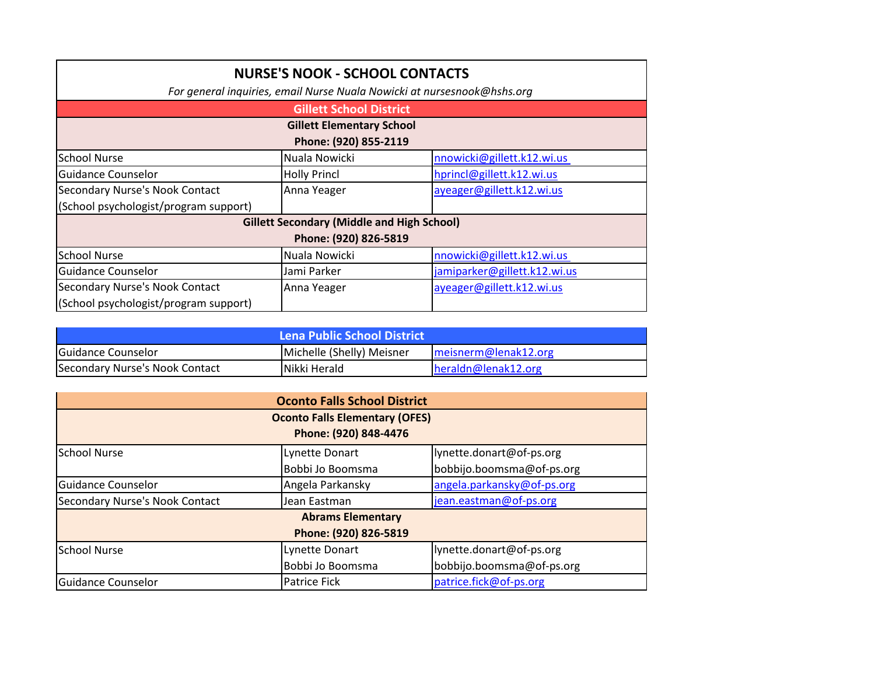| <b>NURSE'S NOOK - SCHOOL CONTACTS</b>                                   |                     |                              |  |
|-------------------------------------------------------------------------|---------------------|------------------------------|--|
| For general inquiries, email Nurse Nuala Nowicki at nursesnook@hshs.org |                     |                              |  |
| <b>Gillett School District</b>                                          |                     |                              |  |
| <b>Gillett Elementary School</b>                                        |                     |                              |  |
| Phone: (920) 855-2119                                                   |                     |                              |  |
| <b>School Nurse</b>                                                     | Nuala Nowicki       | nnowicki@gillett.k12.wi.us   |  |
| Guidance Counselor                                                      | <b>Holly Princl</b> | hprincl@gillett.k12.wi.us    |  |
| Secondary Nurse's Nook Contact                                          | Anna Yeager         | ayeager@gillett.k12.wi.us    |  |
| (School psychologist/program support)                                   |                     |                              |  |
| <b>Gillett Secondary (Middle and High School)</b>                       |                     |                              |  |
| Phone: (920) 826-5819                                                   |                     |                              |  |
| <b>School Nurse</b>                                                     | Nuala Nowicki       | nnowicki@gillett.k12.wi.us   |  |
| Guidance Counselor                                                      | Jami Parker         | jamiparker@gillett.k12.wi.us |  |
| Secondary Nurse's Nook Contact                                          | Anna Yeager         | ayeager@gillett.k12.wi.us    |  |
| (School psychologist/program support)                                   |                     |                              |  |

| <b>Lena Public School District</b> |                           |                                  |
|------------------------------------|---------------------------|----------------------------------|
| <b>IGuidance Counselor</b>         | Michelle (Shelly) Meisner | $\textsf{Imeisnerm@lenak12.org}$ |
| Secondary Nurse's Nook Contact     | Nikki Herald              | heraldn@lenak12.org              |

| <b>Oconto Falls School District</b>   |                     |                            |  |
|---------------------------------------|---------------------|----------------------------|--|
| <b>Oconto Falls Elementary (OFES)</b> |                     |                            |  |
| Phone: (920) 848-4476                 |                     |                            |  |
| <b>School Nurse</b>                   | Lynette Donart      | lynette.donart@of-ps.org   |  |
|                                       | Bobbi Jo Boomsma    | bobbijo.boomsma@of-ps.org  |  |
| Guidance Counselor                    | Angela Parkansky    | angela.parkansky@of-ps.org |  |
| Secondary Nurse's Nook Contact        | Jean Eastman        | jean.eastman@of-ps.org     |  |
| <b>Abrams Elementary</b>              |                     |                            |  |
| Phone: (920) 826-5819                 |                     |                            |  |
| <b>School Nurse</b>                   | Lynette Donart      | lynette.donart@of-ps.org   |  |
|                                       | Bobbi Jo Boomsma    | bobbijo.boomsma@of-ps.org  |  |
| Guidance Counselor                    | <b>Patrice Fick</b> | patrice.fick@of-ps.org     |  |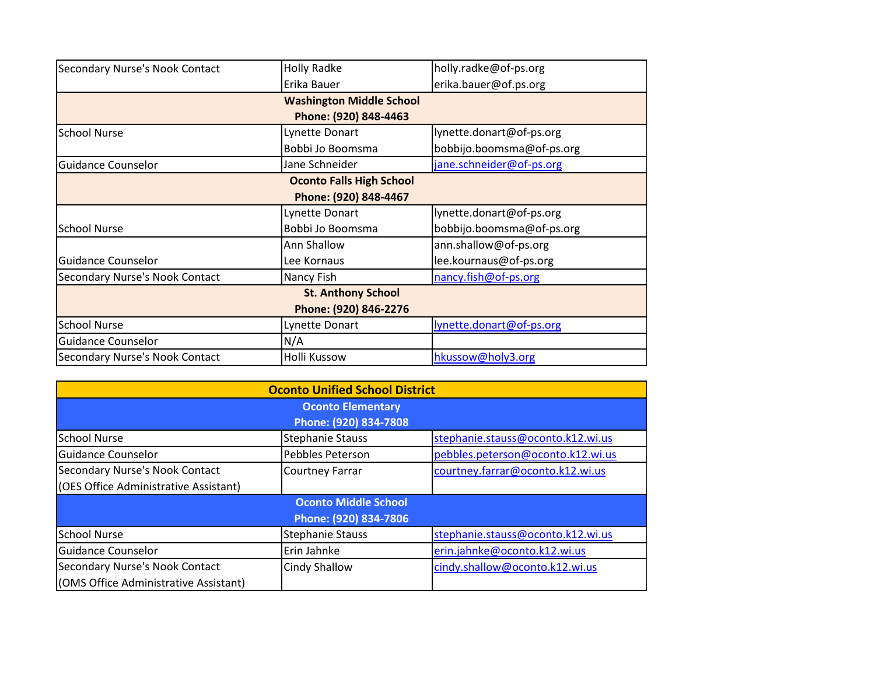| Secondary Nurse's Nook Contact  | <b>Holly Radke</b>              | holly.radke@of-ps.org     |  |  |
|---------------------------------|---------------------------------|---------------------------|--|--|
|                                 | Erika Bauer                     | erika.bauer@of.ps.org     |  |  |
|                                 | <b>Washington Middle School</b> |                           |  |  |
|                                 | Phone: (920) 848-4463           |                           |  |  |
| <b>School Nurse</b>             | Lynette Donart                  | lynette.donart@of-ps.org  |  |  |
|                                 | Bobbi Jo Boomsma                | bobbijo.boomsma@of-ps.org |  |  |
| <b>Guidance Counselor</b>       | Jane Schneider                  | jane.schneider@of-ps.org  |  |  |
| <b>Oconto Falls High School</b> |                                 |                           |  |  |
| Phone: (920) 848-4467           |                                 |                           |  |  |
|                                 | Lynette Donart                  | lynette.donart@of-ps.org  |  |  |
| <b>School Nurse</b>             | Bobbi Jo Boomsma                | bobbijo.boomsma@of-ps.org |  |  |
|                                 | Ann Shallow                     | ann.shallow@of-ps.org     |  |  |
| <b>Guidance Counselor</b>       | Lee Kornaus                     | lee.kournaus@of-ps.org    |  |  |
| Secondary Nurse's Nook Contact  | Nancy Fish                      | nancy.fish@of-ps.org      |  |  |
|                                 | <b>St. Anthony School</b>       |                           |  |  |
|                                 | Phone: (920) 846-2276           |                           |  |  |
| <b>School Nurse</b>             | Lynette Donart                  | lynette.donart@of-ps.org  |  |  |
| Guidance Counselor              | N/A                             |                           |  |  |
| Secondary Nurse's Nook Contact  | Holli Kussow                    | hkussow@holy3.org         |  |  |

| <b>Oconto Unified School District</b> |                             |                                   |  |  |
|---------------------------------------|-----------------------------|-----------------------------------|--|--|
| <b>Oconto Elementary</b>              |                             |                                   |  |  |
| Phone: (920) 834-7808                 |                             |                                   |  |  |
| <b>School Nurse</b>                   | <b>Stephanie Stauss</b>     | stephanie.stauss@oconto.k12.wi.us |  |  |
| <b>Guidance Counselor</b>             | Pebbles Peterson            | pebbles.peterson@oconto.k12.wi.us |  |  |
| Secondary Nurse's Nook Contact        | <b>Courtney Farrar</b>      | courtney.farrar@oconto.k12.wi.us  |  |  |
| (OES Office Administrative Assistant) |                             |                                   |  |  |
|                                       | <b>Oconto Middle School</b> |                                   |  |  |
| Phone: (920) 834-7806                 |                             |                                   |  |  |
| <b>School Nurse</b>                   | <b>Stephanie Stauss</b>     | stephanie.stauss@oconto.k12.wi.us |  |  |
| Guidance Counselor                    | Erin Jahnke                 | erin.jahnke@oconto.k12.wi.us      |  |  |
| Secondary Nurse's Nook Contact        | <b>Cindy Shallow</b>        | cindy.shallow@oconto.k12.wi.us    |  |  |
| (OMS Office Administrative Assistant) |                             |                                   |  |  |